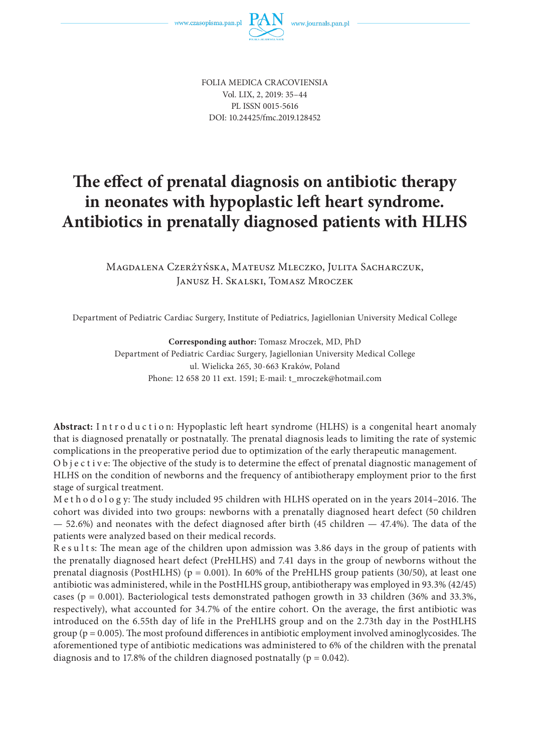

FOLIA MEDICA CRACOVIENSIA Vol. LIX, 2, 2019: 35–44 PL ISSN 0015-5616 DOI: 10.24425/fmc.2019.128452

# The effect of prenatal diagnosis on antibiotic therapy **in neonates with hypoplastic left heart syndrome. Antibiotics in prenatally diagnosed patients with HLHS**

Magdalena Czerżyńska, Mateusz Mleczko, Julita Sacharczuk, Janusz H. Skalski, Tomasz Mroczek

Department of Pediatric Cardiac Surgery, Institute of Pediatrics, Jagiellonian University Medical College

**Corresponding author:** Tomasz Mroczek, MD, PhD Department of Pediatric Cardiac Surgery, Jagiellonian University Medical College ul. Wielicka 265, 30-663 Kraków, Poland Phone: 12 658 20 11 ext. 1591; E-mail: t\_mroczek@hotmail.com

Abstract: Introduction: Hypoplastic left heart syndrome (HLHS) is a congenital heart anomaly that is diagnosed prenatally or postnatally. The prenatal diagnosis leads to limiting the rate of systemic complications in the preoperative period due to optimization of the early therapeutic management.

O b j e c t i v e: The objective of the study is to determine the effect of prenatal diagnostic management of HLHS on the condition of newborns and the frequency of antibiotherapy employment prior to the first stage of surgical treatment.

M e t h o d o l o g y: The study included 95 children with HLHS operated on in the years 2014-2016. The cohort was divided into two groups: newborns with a prenatally diagnosed heart defect (50 children  $-52.6%$ ) and neonates with the defect diagnosed after birth (45 children  $-47.4%$ ). The data of the patients were analyzed based on their medical records.

Results: The mean age of the children upon admission was 3.86 days in the group of patients with the prenatally diagnosed heart defect (PreHLHS) and 7.41 days in the group of newborns without the prenatal diagnosis (PostHLHS) ( $p = 0.001$ ). In 60% of the PreHLHS group patients (30/50), at least one antibiotic was administered, while in the PostHLHS group, antibiotherapy was employed in 93.3% (42/45) cases (p = 0.001). Bacteriological tests demonstrated pathogen growth in 33 children (36% and 33.3%, respectively), what accounted for 34.7% of the entire cohort. On the average, the first antibiotic was introduced on the 6.55th day of life in the PreHLHS group and on the 2.73th day in the PostHLHS group ( $p = 0.005$ ). The most profound differences in antibiotic employment involved aminoglycosides. The aforementioned type of antibiotic medications was administered to 6% of the children with the prenatal diagnosis and to 17.8% of the children diagnosed postnatally ( $p = 0.042$ ).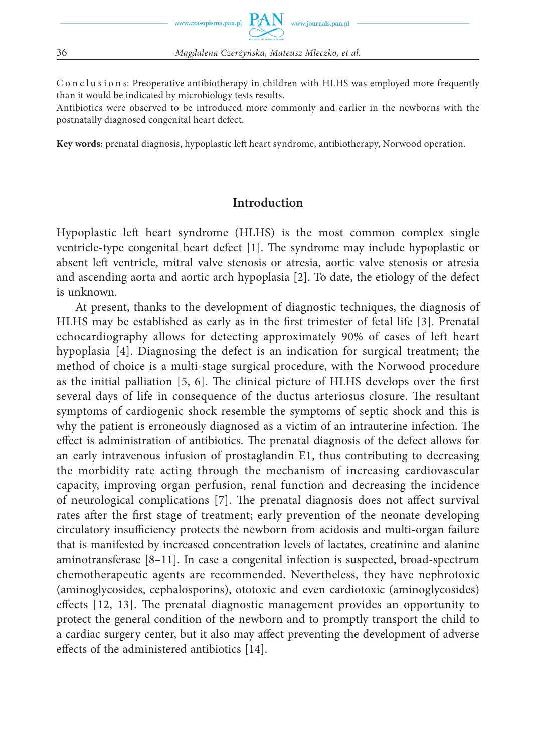C o n c l u s i o n s: Preoperative antibiotherapy in children with HLHS was employed more frequently than it would be indicated by microbiology tests results.

Antibiotics were observed to be introduced more commonly and earlier in the newborns with the postnatally diagnosed congenital heart defect.

**Key words:** prenatal diagnosis, hypoplastic left heart syndrome, antibiotherapy, Norwood operation.

### **Introduction**

Hypoplastic left heart syndrome (HLHS) is the most common complex single ventricle-type congenital heart defect  $[1]$ . The syndrome may include hypoplastic or absent left ventricle, mitral valve stenosis or atresia, aortic valve stenosis or atresia and ascending aorta and aortic arch hypoplasia [2]. To date, the etiology of the defect is unknown.

At present, thanks to the development of diagnostic techniques, the diagnosis of HLHS may be established as early as in the first trimester of fetal life [3]. Prenatal echocardiography allows for detecting approximately 90% of cases of left heart hypoplasia [4]. Diagnosing the defect is an indication for surgical treatment; the method of choice is a multi-stage surgical procedure, with the Norwood procedure as the initial palliation  $[5, 6]$ . The clinical picture of HLHS develops over the first several days of life in consequence of the ductus arteriosus closure. The resultant symptoms of cardiogenic shock resemble the symptoms of septic shock and this is why the patient is erroneously diagnosed as a victim of an intrauterine infection. The effect is administration of antibiotics. The prenatal diagnosis of the defect allows for an early intravenous infusion of prostaglandin E1, thus contributing to decreasing the morbidity rate acting through the mechanism of increasing cardiovascular capacity, improving organ perfusion, renal function and decreasing the incidence of neurological complications [7]. The prenatal diagnosis does not affect survival rates after the first stage of treatment; early prevention of the neonate developing circulatory insufficiency protects the newborn from acidosis and multi-organ failure that is manifested by increased concentration levels of lactates, creatinine and alanine aminotransferase [8–11]. In case a congenital infection is suspected, broad-spectrum chemotherapeutic agents are recommended. Nevertheless, they have nephrotoxic (aminoglycosides, cephalosporins), ototoxic and even cardiotoxic (aminoglycosides) effects  $[12, 13]$ . The prenatal diagnostic management provides an opportunity to protect the general condition of the newborn and to promptly transport the child to a cardiac surgery center, but it also may affect preventing the development of adverse effects of the administered antibiotics [14].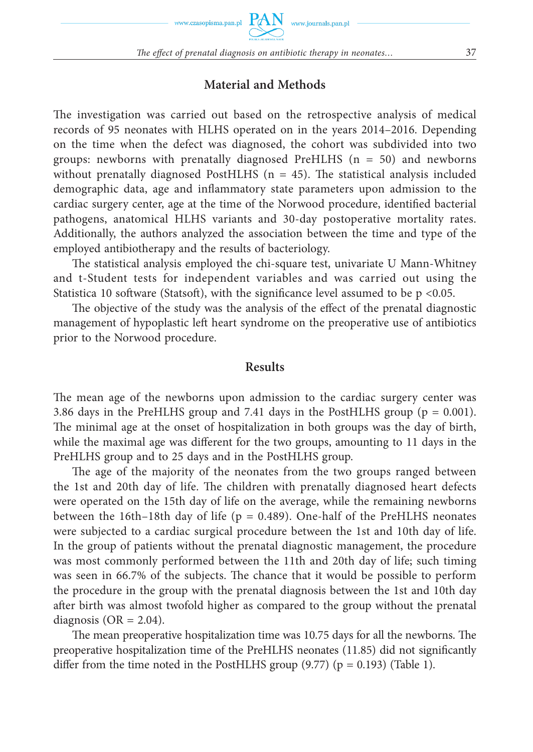#### **Material and Methods**

The investigation was carried out based on the retrospective analysis of medical records of 95 neonates with HLHS operated on in the years 2014–2016. Depending on the time when the defect was diagnosed, the cohort was subdivided into two groups: newborns with prenatally diagnosed PreHLHS  $(n = 50)$  and newborns without prenatally diagnosed PostHLHS ( $n = 45$ ). The statistical analysis included demographic data, age and inflammatory state parameters upon admission to the cardiac surgery center, age at the time of the Norwood procedure, identified bacterial pathogens, anatomical HLHS variants and 30-day postoperative mortality rates. Additionally, the authors analyzed the association between the time and type of the employed antibiotherapy and the results of bacteriology.

The statistical analysis employed the chi-square test, univariate U Mann-Whitney and t-Student tests for independent variables and was carried out using the Statistica 10 software (Statsoft), with the significance level assumed to be  $p \le 0.05$ .

The objective of the study was the analysis of the effect of the prenatal diagnostic management of hypoplastic left heart syndrome on the preoperative use of antibiotics prior to the Norwood procedure.

#### **Results**

The mean age of the newborns upon admission to the cardiac surgery center was 3.86 days in the PreHLHS group and 7.41 days in the PostHLHS group ( $p = 0.001$ ). The minimal age at the onset of hospitalization in both groups was the day of birth, while the maximal age was different for the two groups, amounting to 11 days in the PreHLHS group and to 25 days and in the PostHLHS group.

The age of the majority of the neonates from the two groups ranged between the 1st and 20th day of life. The children with prenatally diagnosed heart defects were operated on the 15th day of life on the average, while the remaining newborns between the 16th–18th day of life ( $p = 0.489$ ). One-half of the PreHLHS neonates were subjected to a cardiac surgical procedure between the 1st and 10th day of life. In the group of patients without the prenatal diagnostic management, the procedure was most commonly performed between the 11th and 20th day of life; such timing was seen in 66.7% of the subjects. The chance that it would be possible to perform the procedure in the group with the prenatal diagnosis between the 1st and 10th day after birth was almost twofold higher as compared to the group without the prenatal diagnosis ( $OR = 2.04$ ).

The mean preoperative hospitalization time was 10.75 days for all the newborns. The preoperative hospitalization time of the PreHLHS neonates (11.85) did not significantly differ from the time noted in the PostHLHS group  $(9.77)$  (p = 0.193) (Table 1).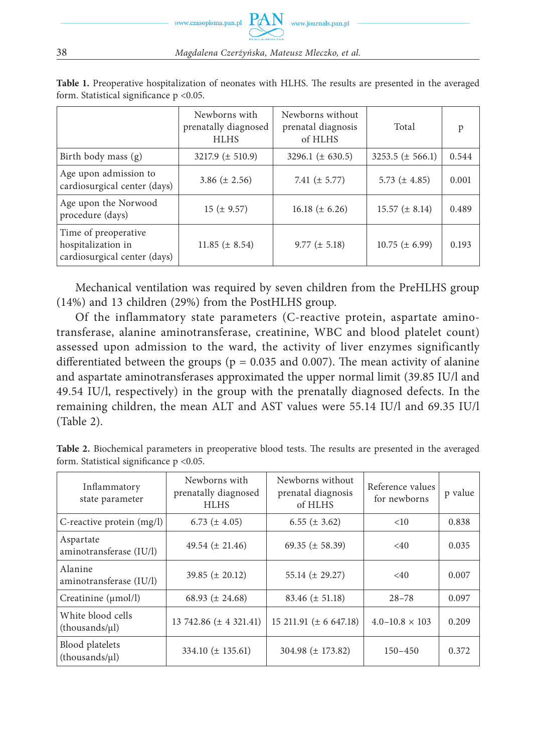38 *Magdalena Czerżyńska, Mateusz Mleczko, et al.*

www.czasopisma.pan.pl

www.journals.pan.pl

|                                                                            | Newborns with<br>prenatally diagnosed<br><b>HLHS</b> | Newborns without<br>prenatal diagnosis<br>of HLHS | Total                | p     |
|----------------------------------------------------------------------------|------------------------------------------------------|---------------------------------------------------|----------------------|-------|
| Birth body mass (g)                                                        | $3217.9 \ (\pm 510.9)$                               | 3296.1 $(\pm 630.5)$                              | $3253.5 (\pm 566.1)$ | 0.544 |
| Age upon admission to<br>cardiosurgical center (days)                      | 3.86 $(\pm 2.56)$                                    | 7.41 $(\pm 5.77)$                                 | 5.73 $(\pm 4.85)$    | 0.001 |
| Age upon the Norwood<br>procedure (days)                                   | $15 (\pm 9.57)$                                      | 16.18 $(\pm 6.26)$                                | $15.57 \ (\pm 8.14)$ | 0.489 |
| Time of preoperative<br>hospitalization in<br>cardiosurgical center (days) | 11.85 $(\pm 8.54)$                                   | $9.77 (\pm 5.18)$                                 | $10.75 \ (\pm 6.99)$ | 0.193 |

Table 1. Preoperative hospitalization of neonates with HLHS. The results are presented in the averaged form. Statistical significance  $p < 0.05$ .

Mechanical ventilation was required by seven children from the PreHLHS group (14%) and 13 children (29%) from the PostHLHS group.

Of the inflammatory state parameters (C-reactive protein, aspartate aminotransferase, alanine aminotransferase, creatinine, WBC and blood platelet count) assessed upon admission to the ward, the activity of liver enzymes significantly differentiated between the groups ( $p = 0.035$  and 0.007). The mean activity of alanine and aspartate aminotransferases approximated the upper normal limit (39.85 IU/l and 49.54 IU/l, respectively) in the group with the prenatally diagnosed defects. In the remaining children, the mean ALT and AST values were 55.14 IU/l and 69.35 IU/l (Table 2).

| Inflammatory<br>state parameter          | Newborns with<br>prenatally diagnosed<br><b>HLHS</b> | Newborns without<br>prenatal diagnosis<br>of HLHS | Reference values<br>for newborns | p value |  |
|------------------------------------------|------------------------------------------------------|---------------------------------------------------|----------------------------------|---------|--|
| C-reactive protein (mg/l)                | 6.73 $(\pm 4.05)$                                    | $6.55 (\pm 3.62)$                                 | <10                              | 0.838   |  |
| Aspartate<br>aminotransferase (IU/l)     | 49.54 $(\pm 21.46)$                                  | 69.35 ( $\pm$ 58.39)                              | $<$ 40                           | 0.035   |  |
| Alanine<br>aminotransferase (IU/l)       | 39.85 $(\pm 20.12)$                                  | 55.14 $(\pm 29.27)$                               | $<$ 40                           | 0.007   |  |
| Creatinine $(\mu mol/l)$                 | 68.93 $(\pm 24.68)$                                  | 83.46 $(\pm 51.18)$                               | $28 - 78$                        | 0.097   |  |
| White blood cells<br>$-thousands/\mu l)$ | 13 742.86 $(\pm 4 \frac{321.41}{ } )$                | 15 211.91 ( $\pm$ 6 647.18)                       | $4.0 - 10.8 \times 103$          | 0.209   |  |
| Blood platelets<br>$-thousands/\mu l)$   | $334.10 \ (\pm 135.61)$                              | $304.98 (\pm 173.82)$                             | $150 - 450$                      | 0.372   |  |

Table 2. Biochemical parameters in preoperative blood tests. The results are presented in the averaged form. Statistical significance  $p < 0.05$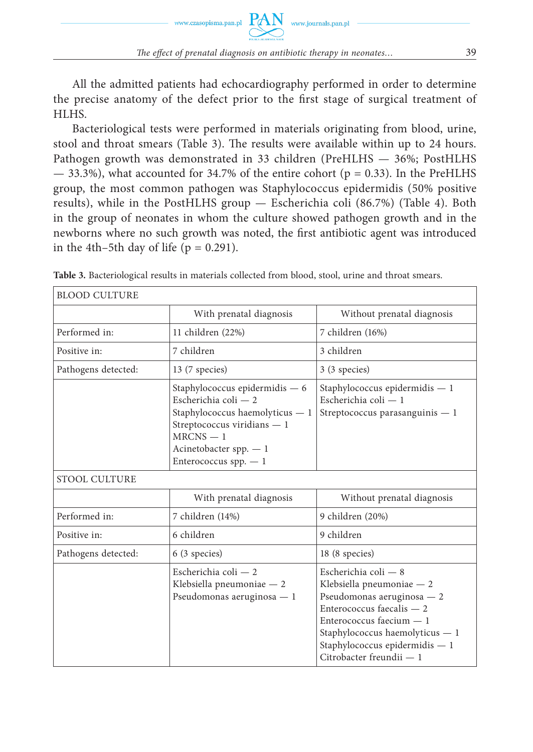All the admitted patients had echocardiography performed in order to determine the precise anatomy of the defect prior to the first stage of surgical treatment of HLHS.

Bacteriological tests were performed in materials originating from blood, urine, stool and throat smears (Table 3). The results were available within up to 24 hours. Pathogen growth was demonstrated in 33 children (PreHLHS — 36%; PostHLHS  $-$  33.3%), what accounted for 34.7% of the entire cohort ( $p = 0.33$ ). In the PreHLHS group, the most common pathogen was Staphylococcus epidermidis (50% positive results), while in the PostHLHS group — Escherichia coli (86.7%) (Table 4). Both in the group of neonates in whom the culture showed pathogen growth and in the newborns where no such growth was noted, the first antibiotic agent was introduced in the 4th–5th day of life ( $p = 0.291$ ).

| BLOOD CULTURE        |                                                                                                                                                                                                 |                                                                                                                                                                                                                                            |  |
|----------------------|-------------------------------------------------------------------------------------------------------------------------------------------------------------------------------------------------|--------------------------------------------------------------------------------------------------------------------------------------------------------------------------------------------------------------------------------------------|--|
|                      | With prenatal diagnosis                                                                                                                                                                         | Without prenatal diagnosis                                                                                                                                                                                                                 |  |
| Performed in:        | 11 children (22%)                                                                                                                                                                               | 7 children (16%)                                                                                                                                                                                                                           |  |
| Positive in:         | 7 children                                                                                                                                                                                      | 3 children                                                                                                                                                                                                                                 |  |
| Pathogens detected:  | 13 (7 species)                                                                                                                                                                                  | 3 (3 species)                                                                                                                                                                                                                              |  |
|                      | Staphylococcus epidermidis $-6$<br>Escherichia coli $-2$<br>Staphylococcus haemolyticus - 1<br>Streptococcus viridians $-1$<br>$MRCNS - 1$<br>Acinetobacter spp. $-1$<br>Enterococcus spp. $-1$ | Staphylococcus epidermidis $-1$<br>Escherichia coli - 1<br>Streptococcus parasanguinis - 1                                                                                                                                                 |  |
| <b>STOOL CULTURE</b> |                                                                                                                                                                                                 |                                                                                                                                                                                                                                            |  |
|                      | With prenatal diagnosis                                                                                                                                                                         | Without prenatal diagnosis                                                                                                                                                                                                                 |  |
| Performed in:        | 7 children (14%)                                                                                                                                                                                | 9 children (20%)                                                                                                                                                                                                                           |  |
| Positive in:         | 6 children                                                                                                                                                                                      | 9 children                                                                                                                                                                                                                                 |  |
| Pathogens detected:  | 6 (3 species)                                                                                                                                                                                   | 18 (8 species)                                                                                                                                                                                                                             |  |
|                      | Escherichia coli - 2<br>Klebsiella pneumoniae - 2<br>Pseudomonas aeruginosa - 1                                                                                                                 | Escherichia coli - 8<br>Klebsiella pneumoniae - 2<br>Pseudomonas aeruginosa - 2<br>Enterococcus faecalis - 2<br>Enterococcus faecium — 1<br>Staphylococcus haemolyticus - 1<br>Staphylococcus epidermidis $-1$<br>Citrobacter freundii - 1 |  |

**Table 3.** Bacteriological results in materials collected from blood, stool, urine and throat smears.

Г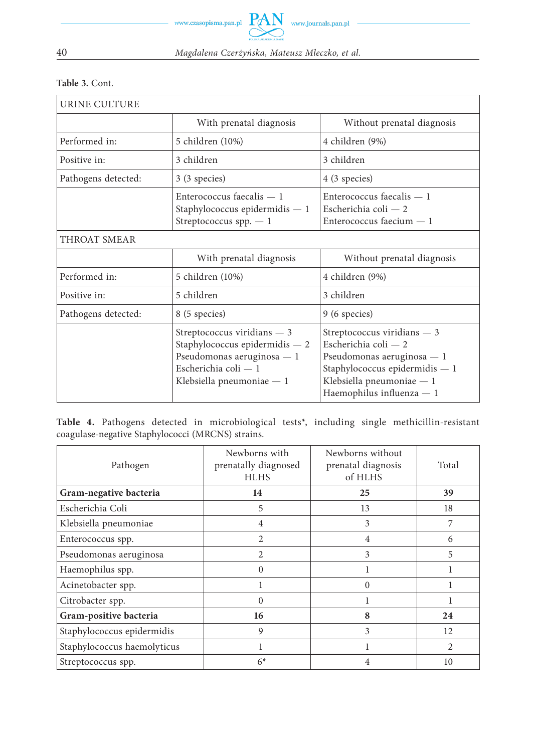40 *Magdalena Czerżyńska, Mateusz Mleczko, et al.*

|  |  | Table 3. Cont. |
|--|--|----------------|
|--|--|----------------|

| URINE CULTURE       |                                                                                                                                                     |                                                                                                                                                                                 |
|---------------------|-----------------------------------------------------------------------------------------------------------------------------------------------------|---------------------------------------------------------------------------------------------------------------------------------------------------------------------------------|
|                     | With prenatal diagnosis                                                                                                                             | Without prenatal diagnosis                                                                                                                                                      |
| Performed in:       | 5 children (10%)                                                                                                                                    | 4 children (9%)                                                                                                                                                                 |
| Positive in:        | 3 children                                                                                                                                          | 3 children                                                                                                                                                                      |
| Pathogens detected: | 3 (3 species)                                                                                                                                       | 4 (3 species)                                                                                                                                                                   |
|                     | Enterococcus faecalis $-1$<br>Staphylococcus epidermidis - 1<br>Streptococcus spp. $-1$                                                             | $Enterococcus facalis - 1$<br>Escherichia coli - 2<br>Enterococcus faecium $-1$                                                                                                 |
| THROAT SMEAR        |                                                                                                                                                     |                                                                                                                                                                                 |
|                     | With prenatal diagnosis                                                                                                                             | Without prenatal diagnosis                                                                                                                                                      |
| Performed in:       | 5 children (10%)                                                                                                                                    | 4 children (9%)                                                                                                                                                                 |
| Positive in:        | 5 children                                                                                                                                          | 3 children                                                                                                                                                                      |
| Pathogens detected: | 8 (5 species)                                                                                                                                       | 9 (6 species)                                                                                                                                                                   |
|                     | Streptococcus viridians $-3$<br>Staphylococcus epidermidis $-2$<br>Pseudomonas aeruginosa - 1<br>Escherichia coli — 1<br>Klebsiella pneumoniae $-1$ | Streptococcus viridians $-3$<br>Escherichia coli — 2<br>Pseudomonas aeruginosa — 1<br>Staphylococcus epidermidis $-1$<br>Klebsiella pneumoniae - 1<br>Haemophilus influenza — 1 |

**Table 4.** Pathogens detected in microbiological tests\*, including single methicillin-resistant coagulase-negative Staphylococci (MRCNS) strains.

| Pathogen                    | Newborns with<br>prenatally diagnosed<br><b>HLHS</b> | Newborns without<br>prenatal diagnosis<br>of HLHS | Total          |
|-----------------------------|------------------------------------------------------|---------------------------------------------------|----------------|
| Gram-negative bacteria      | 14                                                   | 25                                                | 39             |
| Escherichia Coli            | 5                                                    | 13                                                | 18             |
| Klebsiella pneumoniae       | $\overline{4}$                                       | 3                                                 | 7              |
| Enterococcus spp.           | $\mathfrak{D}$                                       | $\overline{4}$                                    | 6              |
| Pseudomonas aeruginosa      | $\mathfrak{D}$                                       | 3                                                 | 5              |
| Haemophilus spp.            | $\Omega$                                             |                                                   |                |
| Acinetobacter spp.          |                                                      | $\Omega$                                          |                |
| Citrobacter spp.            | 0                                                    |                                                   |                |
| Gram-positive bacteria      | 16                                                   | 8                                                 | 24             |
| Staphylococcus epidermidis  | 9                                                    | 3                                                 | 12             |
| Staphylococcus haemolyticus |                                                      |                                                   | $\mathfrak{D}$ |
| Streptococcus spp.          | $6*$                                                 | 4                                                 | 10             |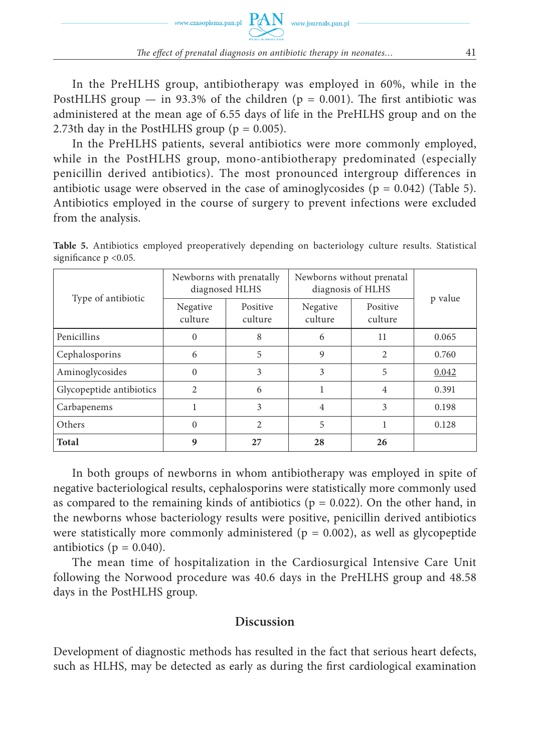In the PreHLHS group, antibiotherapy was employed in 60%, while in the PostHLHS group — in 93.3% of the children ( $p = 0.001$ ). The first antibiotic was administered at the mean age of 6.55 days of life in the PreHLHS group and on the 2.73th day in the PostHLHS group ( $p = 0.005$ ).

In the PreHLHS patients, several antibiotics were more commonly employed, while in the PostHLHS group, mono-antibiotherapy predominated (especially penicillin derived antibiotics). The most pronounced intergroup differences in antibiotic usage were observed in the case of aminoglycosides ( $p = 0.042$ ) (Table 5). Antibiotics employed in the course of surgery to prevent infections were excluded from the analysis.

| Type of antibiotic       | Newborns with prenatally<br>diagnosed HLHS |                     | Newborns without prenatal<br>diagnosis of HLHS |                     |         |
|--------------------------|--------------------------------------------|---------------------|------------------------------------------------|---------------------|---------|
|                          | Negative<br>culture                        | Positive<br>culture | Negative<br>culture                            | Positive<br>culture | p value |
| Penicillins              | $\Omega$                                   | 8                   | 6                                              | 11                  | 0.065   |
| Cephalosporins           | 6                                          | 5                   | 9                                              | $\overline{c}$      | 0.760   |
| Aminoglycosides          | $\Omega$                                   | 3                   | 3                                              | 5                   | 0.042   |
| Glycopeptide antibiotics | $\overline{c}$                             | 6                   |                                                | $\overline{4}$      | 0.391   |
| Carbapenems              |                                            | 3                   | 4                                              | 3                   | 0.198   |
| Others                   | $\Omega$                                   | $\overline{2}$      | 5                                              | 1                   | 0.128   |
| <b>Total</b>             | 9                                          | 27                  | 28                                             | 26                  |         |

**Table 5.** Antibiotics employed preoperatively depending on bacteriology culture results. Statistical significance  $p < 0.05$ .

In both groups of newborns in whom antibiotherapy was employed in spite of negative bacteriological results, cephalosporins were statistically more commonly used as compared to the remaining kinds of antibiotics ( $p = 0.022$ ). On the other hand, in the newborns whose bacteriology results were positive, penicillin derived antibiotics were statistically more commonly administered ( $p = 0.002$ ), as well as glycopeptide antibiotics ( $p = 0.040$ ).

The mean time of hospitalization in the Cardiosurgical Intensive Care Unit following the Norwood procedure was 40.6 days in the PreHLHS group and 48.58 days in the PostHLHS group.

#### **Discussion**

Development of diagnostic methods has resulted in the fact that serious heart defects, such as HLHS, may be detected as early as during the first cardiological examination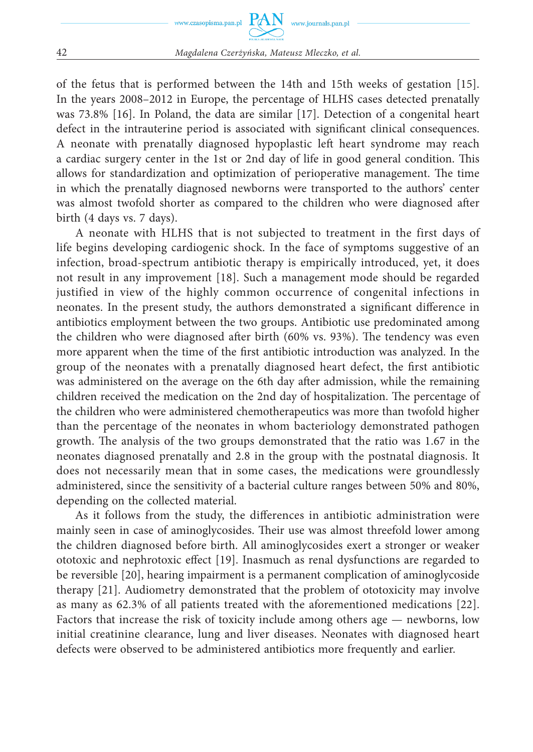

of the fetus that is performed between the 14th and 15th weeks of gestation [15]. In the years 2008–2012 in Europe, the percentage of HLHS cases detected prenatally was 73.8% [16]. In Poland, the data are similar [17]. Detection of a congenital heart defect in the intrauterine period is associated with significant clinical consequences. A neonate with prenatally diagnosed hypoplastic left heart syndrome may reach a cardiac surgery center in the 1st or 2nd day of life in good general condition. This allows for standardization and optimization of perioperative management. The time in which the prenatally diagnosed newborns were transported to the authors' center was almost twofold shorter as compared to the children who were diagnosed after birth (4 days vs. 7 days).

A neonate with HLHS that is not subjected to treatment in the first days of life begins developing cardiogenic shock. In the face of symptoms suggestive of an infection, broad-spectrum antibiotic therapy is empirically introduced, yet, it does not result in any improvement [18]. Such a management mode should be regarded justified in view of the highly common occurrence of congenital infections in neonates. In the present study, the authors demonstrated a significant difference in antibiotics employment between the two groups. Antibiotic use predominated among the children who were diagnosed after birth (60% vs. 93%). The tendency was even more apparent when the time of the first antibiotic introduction was analyzed. In the group of the neonates with a prenatally diagnosed heart defect, the first antibiotic was administered on the average on the 6th day after admission, while the remaining children received the medication on the 2nd day of hospitalization. The percentage of the children who were administered chemotherapeutics was more than twofold higher than the percentage of the neonates in whom bacteriology demonstrated pathogen growth. The analysis of the two groups demonstrated that the ratio was 1.67 in the neonates diagnosed prenatally and 2.8 in the group with the postnatal diagnosis. It does not necessarily mean that in some cases, the medications were groundlessly administered, since the sensitivity of a bacterial culture ranges between 50% and 80%, depending on the collected material.

As it follows from the study, the differences in antibiotic administration were mainly seen in case of aminoglycosides. Their use was almost threefold lower among the children diagnosed before birth. All aminoglycosides exert a stronger or weaker ototoxic and nephrotoxic effect [19]. Inasmuch as renal dysfunctions are regarded to be reversible [20], hearing impairment is a permanent complication of aminoglycoside therapy [21]. Audiometry demonstrated that the problem of ototoxicity may involve as many as 62.3% of all patients treated with the aforementioned medications [22]. Factors that increase the risk of toxicity include among others age — newborns, low initial creatinine clearance, lung and liver diseases. Neonates with diagnosed heart defects were observed to be administered antibiotics more frequently and earlier.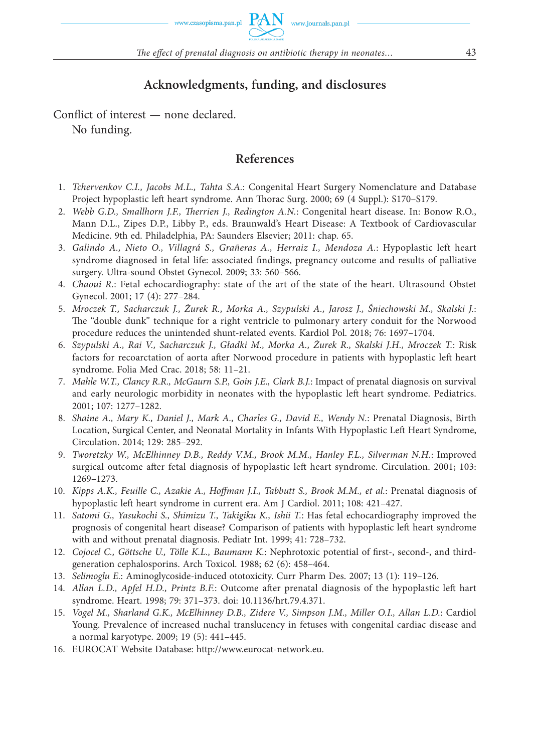# **Acknowledgments, funding, and disclosures**

Conflict of interest — none declared. No funding.

## **References**

- 1. *Tchervenkov C.I., Jacobs M.L., Tahta S.A.*: Congenital Heart Surgery Nomenclature and Database Project hypoplastic left heart syndrome. Ann Thorac Surg. 2000; 69 (4 Suppl.): S170-S179.
- 2. Webb G.D., Smallhorn J.F., Therrien J., Redington A.N.: Congenital heart disease. In: Bonow R.O., Mann D.L., Zipes D.P., Libby P., eds. Braunwald's Heart Disease: A Textbook of Cardiovascular Medicine. 9th ed. Philadelphia, PA: Saunders Elsevier; 2011: chap. 65.
- 3. *Galindo A., Nieto O., Villagrá S., Grañeras A., Herraiz I., Mendoza A.*: Hypoplastic left heart syndrome diagnosed in fetal life: associated findings, pregnancy outcome and results of palliative surgery. Ultra-sound Obstet Gynecol. 2009; 33: 560–566.
- 4. *Chaoui R.*: Fetal echocardiography: state of the art of the state of the heart. Ultrasound Obstet Gynecol. 2001; 17 (4): 277–284.
- 5. *Mroczek T., Sacharczuk J., Żurek R., Morka A., Szypulski A., Jarosz J., Śniechowski M., Skalski J.*: The "double dunk" technique for a right ventricle to pulmonary artery conduit for the Norwood procedure reduces the unintended shunt-related events. Kardiol Pol. 2018; 76: 1697–1704.
- 6. *Szypulski A., Rai V., Sacharczuk J., Gładki M., Morka A., Żurek R., Skalski J.H., Mroczek T.*: Risk factors for recoarctation of aorta after Norwood procedure in patients with hypoplastic left heart syndrome. Folia Med Crac. 2018; 58: 11–21.
- 7. *Mahle W.T., Clancy R.R., McGaurn S.P., Goin J.E., Clark B.J.*: Impact of prenatal diagnosis on survival and early neurologic morbidity in neonates with the hypoplastic left heart syndrome. Pediatrics. 2001; 107: 1277–1282.
- 8. *Shaine A., Mary K., Daniel J., Mark A., Charles G., David E., Wendy N.*: Prenatal Diagnosis, Birth Location, Surgical Center, and Neonatal Mortality in Infants With Hypoplastic Left Heart Syndrome, Circulation. 2014; 129: 285–292.
- 9. *Tworetzky W., McElhinney D.B., Reddy V.M., Brook M.M., Hanley F.L., Silverman N.H.*: Improved surgical outcome after fetal diagnosis of hypoplastic left heart syndrome. Circulation. 2001; 103: 1269–1273.
- 10. *Kipps A.K., Feuille C., Azakie A., Hoffman J.I., Tabbutt S., Brook M.M., et al.*: Prenatal diagnosis of hypoplastic left heart syndrome in current era. Am J Cardiol. 2011; 108: 421–427.
- 11. *Satomi G., Yasukochi S., Shimizu T., Takigiku K., Ishii T.*: Has fetal echocardiography improved the prognosis of congenital heart disease? Comparison of patients with hypoplastic left heart syndrome with and without prenatal diagnosis. Pediatr Int. 1999; 41: 728–732.
- 12. Cojocel C., Göttsche U., Tölle K.L., Baumann K.: Nephrotoxic potential of first-, second-, and thirdgeneration cephalosporins. Arch Toxicol. 1988; 62 (6): 458–464.
- 13. *Selimoglu E.*: Aminoglycoside-induced ototoxicity. Curr Pharm Des. 2007; 13 (1): 119–126.
- 14. *Allan L.D., Apfel H.D., Printz B.F.*: Outcome after prenatal diagnosis of the hypoplastic left hart syndrome. Heart. 1998; 79: 371–373. doi: 10.1136/hrt.79.4.371.
- 15. *Vogel M., Sharland G.K., McElhinney D.B., Zidere V., Simpson J.M., Miller O.I., Allan L.D.*: Cardiol Young. Prevalence of increased nuchal translucency in fetuses with congenital cardiac disease and a normal karyotype. 2009; 19 (5): 441–445.
- 16. EUROCAT Website Database: http://www.eurocat-network.eu.